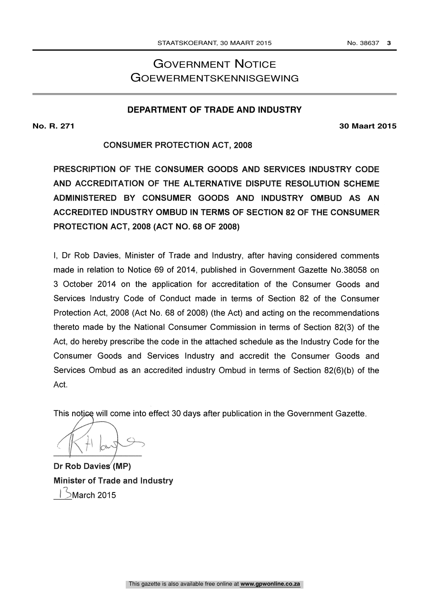# GOVERNMENT NOTICE GOEWERMENTSKENNISGEWING

# **DEPARTMENT OF TRADE AND INDUSTRY**

# **No. R. 271 30 Maart 2015**

# CONSUMER PROTECTION ACT, 2008

PRESCRIPTION OF THE CONSUMER GOODS AND SERVICES INDUSTRY CODE AND ACCREDITATION OF THE ALTERNATIVE DISPUTE RESOLUTION SCHEME ADMINISTERED BY CONSUMER GOODS AND INDUSTRY OMBUD AS AN ACCREDITED INDUSTRY OMBUD IN TERMS OF SECTION 82 OF THE CONSUMER PROTECTION ACT, 2008 (ACT NO. 68 OF 2008)

I, Dr Rob Davies, Minister of Trade and Industry, after having considered comments made in relation to Notice 69 of 2014, published in Government Gazette No.38058 on 3 October 2014 on the application for accreditation of the Consumer Goods and Services Industry Code of Conduct made in terms of Section 82 of the Consumer Protection Act, 2008 (Act No. 68 of 2008) (the Act) and acting on the recommendations thereto made by the National Consumer Commission in terms of Section 82(3) of the Act, do hereby prescribe the code in the attached schedule as the Industry Code for the Consumer Goods and Services Industry and accredit the Consumer Goods and Services Ombud as an accredited industry Ombud in terms of Section 82(6)(b) of the Act.

This notice will come into effect 30 days after publication in the Government Gazette.

Dr Rob Davies (MP) Minister of Trade and Industry  $\big\}$ March 2015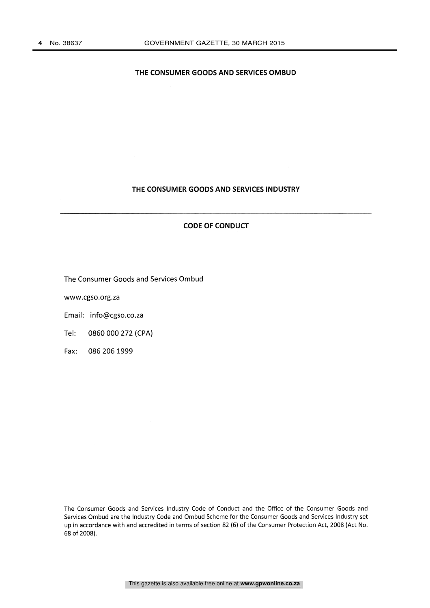# THE CONSUMER GOODS AND SERVICES OMBUD

# THE CONSUMER GOODS AND SERVICES INDUSTRY

# CODE OF CONDUCT

The Consumer Goods and Services Ombud

www.cgso.org.za

Email: info@cgso.co.za

Tel: 0860 000 272 (CPA)

Fax: 086 206 1999

The Consumer Goods and Services Industry Code of Conduct and the Office of the Consumer Goods and Services Ombud are the Industry Code and Ombud Scheme for the Consumer Goods and Services Industry set up in accordance with and accredited in terms of section 82 (6) of the Consumer Protection Act, 2008 (Act No. 68 of 2008).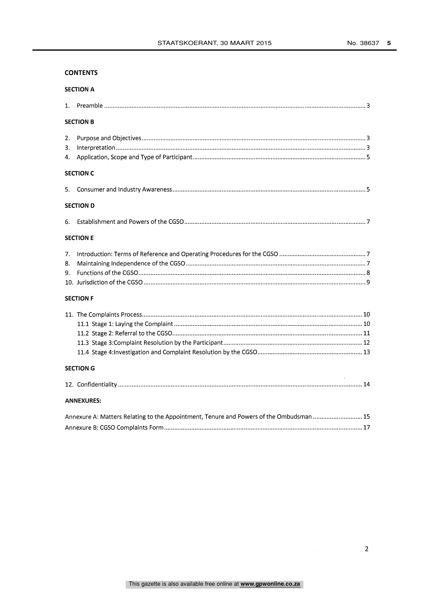# **CONTENTS**

| <b>SECTION A</b>                                                                        |  |
|-----------------------------------------------------------------------------------------|--|
| 1.                                                                                      |  |
| <b>SECTION B</b>                                                                        |  |
| 2.<br>3.<br>4.                                                                          |  |
| <b>SECTION C</b>                                                                        |  |
| 5.                                                                                      |  |
| <b>SECTION D</b>                                                                        |  |
| 6.                                                                                      |  |
| <b>SECTION E</b>                                                                        |  |
| 7.<br>8.<br>9.                                                                          |  |
| <b>SECTION F</b>                                                                        |  |
|                                                                                         |  |
| <b>SECTION G</b>                                                                        |  |
| <b>ANNEXURES:</b>                                                                       |  |
| Annexure A: Matters Relating to the Appointment, Tenure and Powers of the Ombudsman  15 |  |
|                                                                                         |  |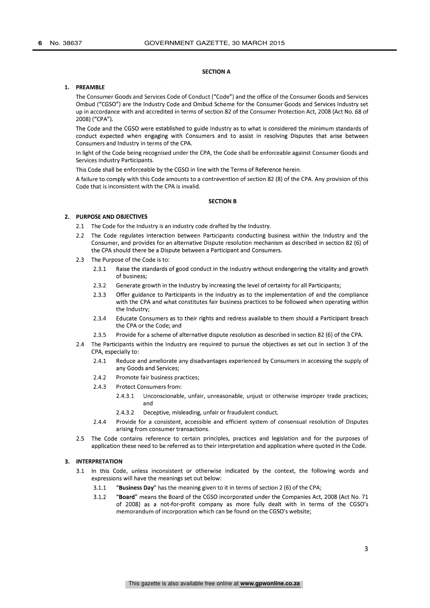#### SECTION A

# 1. PREAMBLE

The Consumer Goods and Services Code of Conduct ("Code") and the office of the Consumer Goods and Services Ombud ("CGSO") are the Industry Code and Ombud Scheme for the Consumer Goods and Services Industry set up in accordance with and accredited in terms of section 82 of the Consumer Protection Act, 2008 (Act No. 68 of 2008) ("CPA").

The Code and the CGSO were established to guide Industry as to what is considered the minimum standards of conduct expected when engaging with Consumers and to assist in resolving Disputes that arise between Consumers and Industry in terms of the CPA.

In light of the Code being recognised under the CPA, the Code shall be enforceable against Consumer Goods and Services Industry Participants.

This Code shall be enforceable by the CGSO in line with the Terms of Reference herein.

A failure to comply with this Code amounts to a contravention of section 82 (8) of the CPA. Any provision of this Code that is inconsistent with the CPA is invalid.

#### SECTION B

## 2. PURPOSE AND OBJECTIVES

- 2.1 The Code for the Industry is an industry code drafted by the Industry.
- 2.2 The Code regulates interaction between Participants conducting business within the Industry and the Consumer, and provides for an alternative Dispute resolution mechanism as described in section 82 (6) of the CPA should there be a Dispute between a Participant and Consumers.
- 2.3 The Purpose of the Code is to:
	- 2.3.1 Raise the standards of good conduct in the Industry without endangering the vitality and growth of business;
	- 2.3.2 Generate growth in the Industry by increasing the level of certainty for all Participants;
	- 2.3.3 Offer guidance to Participants in the Industry as to the implementation of and the compliance with the CPA and what constitutes fair business practices to be followed when operating within the Industry;
	- 2.3.4 Educate Consumers as to their rights and redress available to them should a Participant breach the CPA or the Code; and
	- 2.3.5 Provide for a scheme of alternative dispute resolution as described in section 82 (6) of the CPA.
- 2.4 The Participants within the Industry are required to pursue the objectives as set out in section 3 of the CPA, especially to:
	- 2.4.1 Reduce and ameliorate any disadvantages experienced by Consumers in accessing the supply of any Goods and Services;
	- 2.4.2 Promote fair business practices;
	- 2.4.3 Protect Consumers from:
		- 2.4.3.1 Unconscionable, unfair, unreasonable, unjust or otherwise improper trade practices; and
		- 2.4.3.2 Deceptive, misleading, unfair or fraudulent conduct.
	- 2.4.4 Provide for a consistent, accessible and efficient system of consensual resolution of Disputes arising from consumer transactions.
- 2.5 The Code contains reference to certain principles, practices and legislation and for the purposes of application these need to be referred as to their interpretation and application where quoted in the Code.

# 3. INTERPRETATION

- 3.1 In this Code, unless inconsistent or otherwise indicated by the context, the following words and expressions will have the meanings set out below:
	- 3.1.1 "Business Day" has the meaning given to it in terms of section 2 (6) of the CPA;
	- 3.1.2 "Board" means the Board of the CGSO incorporated under the Companies Act, 2008 (Act No. 71 of 2008) as a not-for-profit company as more fully dealt with in terms of the CGSO's memorandum of incorporation which can be found on the CGSO's website;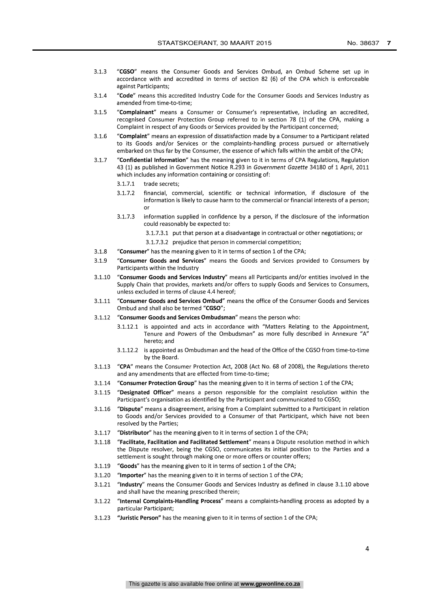- 3.1.3 "CGSO" means the Consumer Goods and Services Ombud, an Ombud Scheme set up in accordance with and accredited in terms of section 82 (6) of the CPA which is enforceable against Participants;
- 3.1.4 "Code" means this accredited Industry Code for the Consumer Goods and Services Industry as amended from time-to-time;
- 3.1.5 "Complainant" means a Consumer or Consumer's representative, including an accredited, recognised Consumer Protection Group referred to in section 78 (1) of the CPA, making a Complaint in respect of any Goods or Services provided by the Participant concerned;
- 3.1.6 "Complaint" means an expression of dissatisfaction made by a Consumer to a Participant related to its Goods and/or Services or the complaints-handling process pursued or alternatively embarked on thus far by the Consumer, the essence of which falls within the ambit of the CPA;
- 3.1.7 "Confidential Information" has the meaning given to it in terms of CPA Regulations, Regulation 43 (1) as published in Government Notice R.293 in Government Gazette 34180 of 1 April, 2011 which includes any information containing or consisting of:
	- 3.1.7.1 trade secrets;
	- 3.1.7.2 financial, commercial, scientific or technical information, if disclosure of the information is likely to cause harm to the commercial or financial interests of a person; or
	- 3.1.7.3 information supplied in confidence by a person, if the disclosure of the information could reasonably be expected to:
		- 3.1.7.3.1 put that person at a disadvantage in contractual or other negotiations; or
		- 3.1.7.3.2 prejudice that person in commercial competition;
- 3.1.8 "Consumer" has the meaning given to it in terms of section 1 of the CPA;
- 3.1.9 "Consumer Goods and Services" means the Goods and Services provided to Consumers by Participants within the Industry
- 3.1.10 "Consumer Goods and Services Industry" means all Participants and/or entities involved in the Supply Chain that provides, markets and/or offers to supply Goods and Services to Consumers, unless excluded in terms of clause 4.4 hereof;
- 3.1.11 "Consumer Goods and Services Ombud" means the office of the Consumer Goods and Services Ombud and shall also be termed "CGSO";
- 3.1.12 "Consumer Goods and Services Ombudsman" means the person who:
	- 3.1.12.1 is appointed and acts in accordance with "Matters Relating to the Appointment, Tenure and Powers of the Ombudsman" as more fully described in Annexure "A" hereto; and
	- 3.1.12.2 is appointed as Ombudsman and the head of the Office of the CGSO from time-to-time by the Board.
- 3.1.13 "CPA" means the Consumer Protection Act, 2008 (Act No. 68 of 2008), the Regulations thereto and any amendments that are effected from time-to-time;
- 3.1.14 "Consumer Protection Group" has the meaning given to it in terms of section 1 of the CPA;
- 3.1.15 "Designated Officer" means a person responsible for the complaint resolution within the Participant's organisation as identified by the Participant and communicated to CGSO;
- 3.1.16 "Dispute" means a disagreement, arising from a Complaint submitted to a Participant in relation to Goods and/or Services provided to a Consumer of that Participant, which have not been resolved by the Parties;
- 3.1.17 "Distributor" has the meaning given to it in terms of section 1 of the CPA;
- 3.1.18 "Facilitate, Facilitation and Facilitated Settlement" means a Dispute resolution method in which the Dispute resolver, being the CGSO, communicates its initial position to the Parties and a settlement is sought through making one or more offers or counter offers;
- 3.1.19 "Goods" has the meaning given to it in terms of section 1 of the CPA;
- 3.1.20 "Importer" has the meaning given to it in terms of section 1 of the CPA;
- 3.1.21 "Industry" means the Consumer Goods and Services Industry as defined in clause 3.1.10 above and shall have the meaning prescribed therein;
- 3.1.22 "Internal Complaints-Handling Process" means a complaints-handling process as adopted by a particular Participant;
- 3.1.23 "Juristic Person" has the meaning given to it in terms of section 1 of the CPA;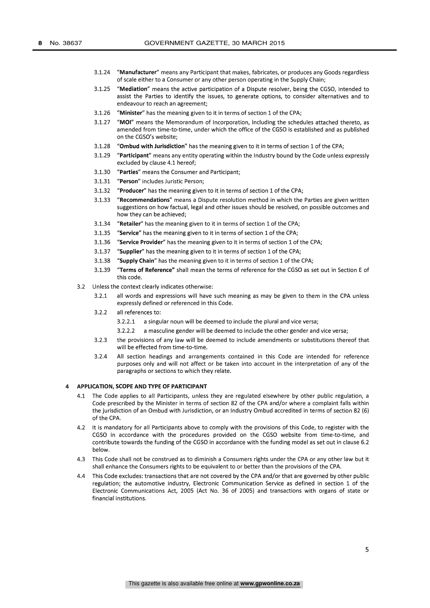- 3.1.24 "Manufacturer" means any Participant that makes, fabricates, or produces any Goods regardless of scale either to a Consumer or any other person operating in the Supply Chain;
- 3.1.25 "Mediation" means the active participation of a Dispute resolver, being the CGSO, intended to assist the Parties to identify the issues, to generate options, to consider alternatives and to endeavour to reach an agreement;
- 3.1.26 "Minister" has the meaning given to it in terms of section 1 of the CPA;
- 3.1.27 "MOI" means the Memorandum of Incorporation, including the schedules attached thereto, as amended from time-to-time, under which the office of the CGSO is established and as published on the CGSO's website;
- 3.1.28 "Ombud with Jurisdiction" has the meaning given to it in terms of section 1 of the CPA;
- 3.1.29 "Participant" means any entity operating within the Industry bound by the Code unless expressly excluded by clause 4.1 hereof;
- 3.1.30 "Parties" means the Consumer and Participant;
- 3.1.31 "Person" includes Juristic Person;
- 3.1.32 "Producer" has the meaning given to it in terms of section 1 of the CPA;
- 3.1.33 "Recommendations" means a Dispute resolution method in which the Parties are given written suggestions on how factual, legal and other issues should be resolved, on possible outcomes and how they can be achieved;
- 3.1.34 "Retailer" has the meaning given to it in terms of section 1 of the CPA;
- 3.1.35 "Service" has the meaning given to it in terms of section 1 of the CPA;
- 3.1.36 "Service Provider" has the meaning given to it in terms of section 1 of the CPA;
- 3.1.37 "Supplier" has the meaning given to it in terms of section 1 of the CPA;
- 3.1.38 "Supply Chain" has the meaning given to it in terms of section 1 of the CPA;
- 3.1.39 "Terms of Reference" shall mean the terms of reference for the CGSO as set out in Section E of this code.
- 3.2 Unless the context clearly indicates otherwise:
	- 3.2.1 all words and expressions will have such meaning as may be given to them in the CPA unless expressly defined or referenced in this Code.
	- 3.2.2 all references to:
		- 3.2.2.1 a singular noun will be deemed to include the plural and vice versa;
		- 3.2.2.2 a masculine gender will be deemed to include the other gender and vice versa;
	- 3.2.3 the provisions of any law will be deemed to include amendments or substitutions thereof that will be effected from time-to-time.
	- 3.2.4 All section headings and arrangements contained in this Code are intended for reference purposes only and will not affect or be taken into account in the interpretation of any of the paragraphs or sections to which they relate.

#### 4 APPLICATION, SCOPE AND TYPE OF PARTICIPANT

- 4.1 The Code applies to all Participants, unless they are regulated elsewhere by other public regulation, a Code prescribed by the Minister in terms of section 82 of the CPA and/or where a complaint falls within the jurisdiction of an Ombud with Jurisdiction, or an Industry Ombud accredited in terms of section 82 (6) of the CPA.
- 4.2 It is mandatory for all Participants above to comply with the provisions of this Code, to register with the CGSO in accordance with the procedures provided on the CGSO website from time-to-time, and contribute towards the funding of the CGSO in accordance with the funding model as set out in clause 6.2 below.
- 4.3 This Code shall not be construed as to diminish a Consumers rights under the CPA or any other law but it shall enhance the Consumers rights to be equivalent to or better than the provisions of the CPA.
- 4.4 This Code excludes: transactions that are not covered by the CPA and/or that are governed by other public regulation; the automotive industry, Electronic Communication Service as defined in section 1 of the Electronic Communications Act, 2005 (Act No. 36 of 2005) and transactions with organs of state or financial institutions.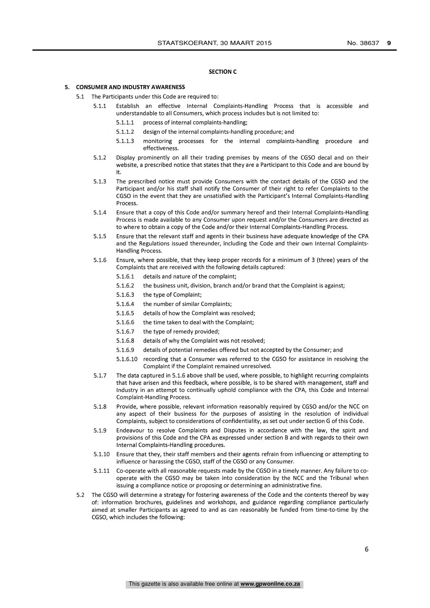#### SECTION C

#### 5. CONSUMER AND INDUSTRY AWARENESS

- 5.1 The Participants under this Code are required to:
	- 5.1.1 Establish an effective Internal Complaints-Handling Process that is accessible and understandable to all Consumers, which process includes but is not limited to:
		- 5.1.1.1 process of internal complaints-handling;
		- 5.1.1.2 design of the internal complaints-handling procedure; and
		- 5.1.1.3 monitoring processes for the internal complaints-handling procedure and effectiveness.
	- 5.1.2 Display prominently on all their trading premises by means of the CGSO decal and on their website, a prescribed notice that states that they are a Participant to this Code and are bound by it.
	- 5.1.3 The prescribed notice must provide Consumers with the contact details of the CGSO and the Participant and/or his staff shall notify the Consumer of their right to refer Complaints to the CGSO in the event that they are unsatisfied with the Participant's Internal Complaints-Handling Process.
	- 5.1.4 Ensure that a copy of this Code and/or summary hereof and their Internal Complaints-Handling Process is made available to any Consumer upon request and/or the Consumers are directed as to where to obtain a copy of the Code and/or their Internal Complaints-Handling Process.
	- 5.1.5 Ensure that the relevant staff and agents in their business have adequate knowledge of the CPA and the Regulations issued thereunder, including the Code and their own Internal Complaints-Handling Process.
	- 5.1.6 Ensure, where possible, that they keep proper records for a minimum of 3 (three) years of the Complaints that are received with the following details captured:
		- 5.1.6.1 details and nature of the complaint;
		- 5.1.6.2 the business unit, division, branch and/or brand that the Complaint is against;
		- 5.1.6.3 the type of Complaint;
		- 5.1.6.4 the number of similar Complaints;
		- 5.1.6.5 details of how the Complaint was resolved;
		- 5.1.6.6 the time taken to deal with the Complaint;
		- 5.1.6.7 the type of remedy provided;
		- 5.1.6.8 details of why the Complaint was not resolved;
		- 5.1.6.9 details of potential remedies offered but not accepted by the Consumer; and
		- 5.1.6.10 recording that a Consumer was referred to the CGSO for assistance in resolving the Complaint if the Complaint remained unresolved.
	- 5.1.7 The data captured in 5.1.6 above shall be used, where possible, to highlight recurring complaints that have arisen and this feedback, where possible, is to be shared with management, staff and Industry in an attempt to continually uphold compliance with the CPA, this Code and Internal Complaint-Handling Process.
	- 5.1.8 Provide, where possible, relevant information reasonably required by CGSO and/or the NCC on any aspect of their business for the purposes of assisting in the resolution of individual Complaints, subject to considerations of confidentiality, as set out under section G of this Code.
	- 5.1.9 Endeavour to resolve Complaints and Disputes in accordance with the law, the spirit and provisions of this Code and the CPA as expressed under section B and with regards to their own Internal Complaints-Handling procedures.
	- 5.1.10 Ensure that they, their staff members and their agents refrain from influencing or attempting to influence or harassing the CGSO, staff of the CGSO or any Consumer.
	- 5.1.11 Co-operate with all reasonable requests made by the CGSO in a timely manner. Any failure to cooperate with the CGSO may be taken into consideration by the NCC and the Tribunal when issuing a compliance notice or proposing or determining an administrative fine.
- 5.2 The CGSO will determine a strategy for fostering awareness of the Code and the contents thereof by way of: information brochures, guidelines and workshops, and guidance regarding compliance particularly aimed at smaller Participants as agreed to and as can reasonably be funded from time-to-time by the CGSO, which includes the following: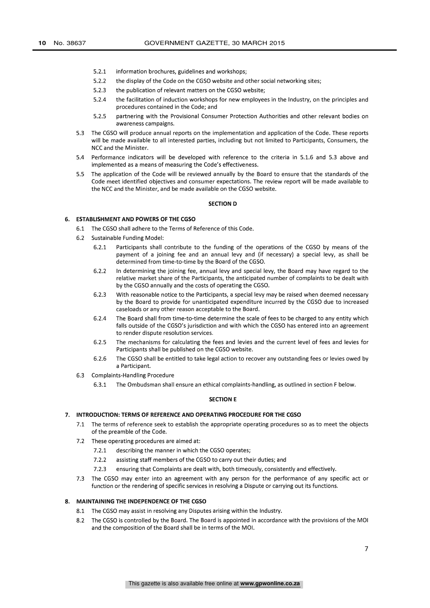- 5.2.1 information brochures, guidelines and workshops;
- 5.2.2 the display of the Code on the CGSO website and other social networking sites;
- 5.2.3 the publication of relevant matters on the CGSO website;
- 5.2.4 the facilitation of induction workshops for new employees in the Industry, on the principles and procedures contained in the Code; and
- 5.2.5 partnering with the Provisional Consumer Protection Authorities and other relevant bodies on awareness campaigns.
- 5.3 The CGSO will produce annual reports on the implementation and application of the Code. These reports will be made available to all interested parties, including but not limited to Participants, Consumers, the NCC and the Minister.
- 5.4 Performance indicators will be developed with reference to the criteria in 5.1.6 and 5.3 above and implemented as a means of measuring the Code's effectiveness.
- 5.5 The application of the Code will be reviewed annually by the Board to ensure that the standards of the Code meet identified objectives and consumer expectations. The review report will be made available to the NCC and the Minister, and be made available on the CGSO website.

#### SECTION D

## 6. **ESTABLISHMENT AND POWERS OF THE CGSO**

- 6.1 The CGSO shall adhere to the Terms of Reference of this Code.
- 6.2 Sustainable Funding Model:
	- 6.2.1 Participants shall contribute to the funding of the operations of the CGSO by means of the payment of a joining fee and an annual levy and (if necessary) a special levy, as shall be determined from time-to-time by the Board of the CGSO.
	- 6.2.2 In determining the joining fee, annual levy and special levy, the Board may have regard to the relative market share of the Participants, the anticipated number of complaints to be dealt with by the CGSO annually and the costs of operating the CGSO.
	- 6.2.3 With reasonable notice to the Participants, a special levy may be raised when deemed necessary by the Board to provide for unanticipated expenditure incurred by the CGSO due to increased caseloads or any other reason acceptable to the Board.
	- 6.2.4 The Board shall from time-to-time determine the scale of fees to be charged to any entity which falls outside of the CGSO's jurisdiction and with which the CGSO has entered into an agreement to render dispute resolution services.
	- 6.2.5 The mechanisms for calculating the fees and levies and the current level of fees and levies for Participants shall be published on the CGSO website.
	- 6.2.6 The CGSO shall be entitled to take legal action to recover any outstanding fees or levies owed by a Participant.
- 6.3 Complaints-Handling Procedure
	- 6.3.1 The Ombudsman shall ensure an ethical complaints-handling, as outlined in section F below.

### SECTION E

# 7. INTRODUCTION: TERMS OF REFERENCE AND OPERATING PROCEDURE FOR THE CGSO

- 7.1 The terms of reference seek to establish the appropriate operating procedures so as to meet the objects of the preamble of the Code.
- 7.2 These operating procedures are aimed at:
	- 7.2.1 describing the manner in which the CGSO operates;
	- 7.2.2 assisting staff members of the CGSO to carry out their duties; and
	- 7.2.3 ensuring that Complaints are dealt with, both timeously, consistently and effectively.
- 7.3 The CGSO may enter into an agreement with any person for the performance of any specific act or function or the rendering of specific services in resolving a Dispute or carrying out its functions.

## 8. MAINTAINING THE INDEPENDENCE OF THE CGSO

- 8.1 The CGSO may assist in resolving any Disputes arising within the Industry.
- 8.2 The CGSO is controlled by the Board. The Board is appointed in accordance with the provisions of the MOI and the composition of the Board shall be in terms of the MOl.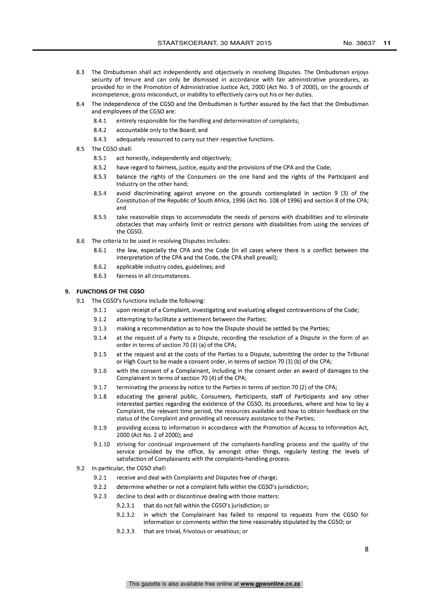- 8.3 The Ombudsman shall act independently and objectively in resolving Disputes. The Ombudsman enjoys security of tenure and can only be dismissed in accordance with fair administrative procedures, as provided for in the Promotion of Administrative Justice Act, 2000 (Act No. 3 of 2000), on the grounds of incompetence, gross misconduct, or inability to effectively carry out his or her duties.
- 8.4 The independence of the CGSO and the Ombudsman is further assured by the fact that the Ombudsman and employees of the CGSO are:
	- 8.4.1 entirely responsible for the handling and determination of complaints;
	- 8.4.2 accountable only to the Board; and
	- 8.4.3 adequately resourced to carry out their respective functions.
- 8.5 The CGSO shall:
	- 8.5.1 act honestly, independently and objectively;
	- 8.5.2 have regard to fairness, justice, equity and the provisions of the CPA and the Code;
	- 8.5.3 balance the rights of the Consumers on the one hand and the rights of the Participant and Industry on the other hand;
	- 8.5.4 avoid discriminating against anyone on the grounds contemplated in section 9 (3) of the Constitution of the Republic of South Africa, 1996 (Act No. 108 of 1996) and section 8 of the CPA; and
	- 8.5.5 take reasonable steps to accommodate the needs of persons with disabilities and to eliminate obstacles that may unfairly limit or restrict persons with disabilities from using the services of the CGSO.
- 8.6 The criteria to be used in resolving Disputes includes:
	- 8.6.1 the law, especially the CPA and the Code (in all cases where there is a conflict between the interpretation of the CPA and the Code, the CPA shall prevail);
	- 8.6.2 applicable industry codes, guidelines; and
	- 8.6.3 fairness in all circumstances.

## 9. FUNCTIONS OF THE CGSO

- 9.1 The CGSO's functions include the following:
	- 9.1.1 upon receipt of a Complaint, investigating and evaluating alleged contraventions of the Code;
	- 9.1.2 attempting to facilitate a settlement between the Parties;
	- 9.1.3 making a recommendation as to how the Dispute should be settled by the Parties;
	- 9.1.4 at the request of a Party to a Dispute, recording the resolution of a Dispute in the form of an order in terms of section 70 (3) (a) of the CPA;
	- 9.1.5 at the request and at the costs of the Parties to a Dispute, submitting the order to the Tribunal or High Court to be made a consent order, in terms of section 70 (3) (b) of the CPA;
	- 9.1.6 with the consent of a Complainant, including in the consent order an award of damages to the Complainant in terms of section 70 (4) of the CPA;
	- 9.1.7 terminating the process by notice to the Parties in terms of section 70 (2) of the CPA;
	- 9.1.8 educating the general public, Consumers, Participants, staff of Participants and any other interested parties regarding the existence of the CGSO, its procedures, where and how to lay a Complaint, the relevant time period, the resources available and how to obtain feedback on the status of the Complaint and providing all necessary assistance to the Parties;
	- 9.1.9 providing access to information in accordance with the Promotion of Access to Information Act, 2000 (Act No. 2 of 2000); and
	- 9.1.10 striving for continual improvement of the complaints-handling process and the quality of the service provided by the office, by amongst other things, regularly testing the levels of satisfaction of Complainants with the complaints-handling process.
- 9.2 In particular, the CGSO shall:
	- 9.2.1 receive and deal with Complaints and Disputes free of charge;
	- 9.2.2 determine whether or not a complaint falls within the CGSO's jurisdiction;
	- 9.2.3 decline to deal with or discontinue dealing with those matters:
		- 9.2.3.1 that do not fall within the CGSO's jurisdiction; or
		- 9.2.3.2 in which the Complainant has failed to respond to requests from the CGSO for information or comments within the time reasonably stipulated by the CGSO; or
		- 9.2.3.3 that are trivial, frivolous or vexatious; or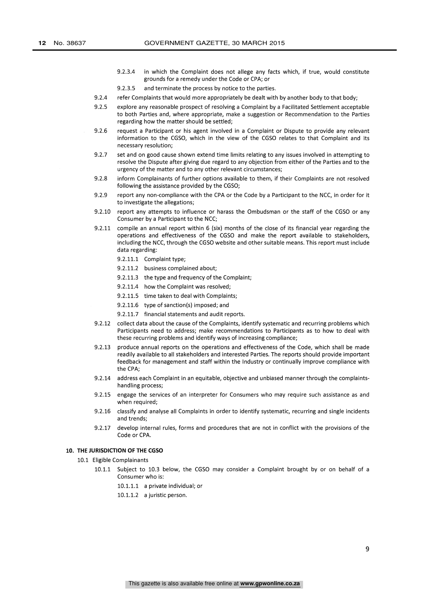- 9.2.3.4 in which the Complaint does not allege any facts which, if true, would constitute grounds for a remedy under the Code or CPA; or
- 9.2.3.5 and terminate the process by notice to the parties.
- 9.2.4 refer Complaints that would more appropriately be dealt with by another body to that body;
- 9.2.5 explore any reasonable prospect of resolving a Complaint by a Facilitated Settlement acceptable to both Parties and, where appropriate, make a suggestion or Recommendation to the Parties regarding how the matter should be settled;
- 9.2.6 request a Participant or his agent involved in a Complaint or Dispute to provide any relevant information to the CGSO, which in the view of the CGSO relates to that Complaint and its necessary resolution;
- 9.2.7 set and on good cause shown extend time limits relating to any issues involved in attempting to resolve the Dispute after giving due regard to any objection from either of the Parties and to the urgency of the matter and to any other relevant circumstances;
- 9.2.8 inform Complainants of further options available to them, if their Complaints are not resolved following the assistance provided by the CGSO;
- 9.2.9 report any non-compliance with the CPA or the Code by a Participant to the NCC, in order for it to investigate the allegations;
- 9.2.10 report any attempts to influence or harass the Ombudsman or the staff of the CGSO or any Consumer by a Participant to the NCC;
- 9.2.11 compile an annual report within 6 (six) months of the close of its financial year regarding the operations and effectiveness of the CGSO and make the report available to stakeholders, including the NCC, through the CGSO website and other suitable means. This report must include data regarding:
	- 9.2.11.1 Complaint type;
	- 9.2.11.2 business complained about;
	- 9.2.11.3 the type and frequency of the Complaint;
	- 9.2.11.4 how the Complaint was resolved;
	- 9.2.11.5 time taken to deal with Complaints;
	- 9.2.11.6 type of sanction(s) imposed; and
	- 9.2.11.7 financial statements and audit reports.
- 9.2.12 collect data about the cause of the Complaints, identify systematic and recurring problems which Participants need to address; make recommendations to Participants as to how to deal with these recurring problems and identify ways of increasing compliance;
- 9.2.13 produce annual reports on the operations and effectiveness of the Code, which shall be made readily available to all stakeholders and interested Parties. The reports should provide important feedback for management and staff within the Industry or continually improve compliance with the CPA;
- 9.2.14 address each Complaint in an equitable, objective and unbiased manner through the complaintshandling process;
- 9.2.15 engage the services of an interpreter for Consumers who may require such assistance as and when required;
- 9.2.16 classify and analyse all Complaints in order to identify systematic, recurring and single incidents and trends;
- 9.2.17 develop internal rules, forms and procedures that are not in conflict with the provisions of the Code or CPA.

### 10. THE JURISDICTION OF THE CGSO

- 10.1 Eligible Complainants
	- 10.1.1 Subject to 10.3 below, the CGSO may consider a Complaint brought by or on behalf of a Consumer who is:
		- 10.1.1.1 a private individual; or
		- 10.1.1.2 a juristic person.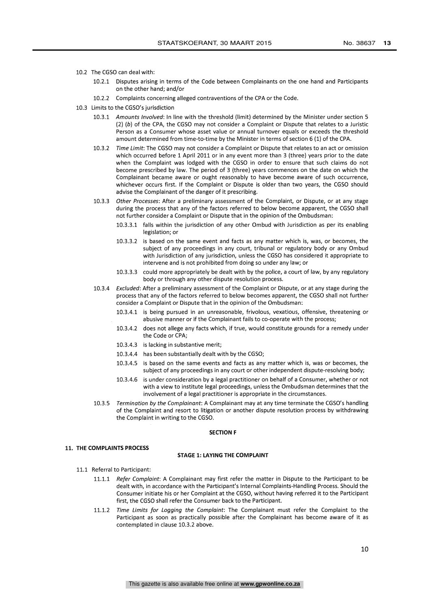- 10.2 The CGSO can deal with:
	- 10.2.1 Disputes arising in terms of the Code between Complainants on the one hand and Participants on the other hand; and/or
	- 10.2.2 Complaints concerning alleged contraventions of the CPA or the Code.
- 10.3 Limits to the CGSO's jurisdiction
	- 10.3.1 Amounts Involved: In line with the threshold (limit) determined by the Minister under section 5  $(2)$   $(b)$  of the CPA, the CGSO may not consider a Complaint or Dispute that relates to a Juristic Person as a Consumer whose asset value or annual turnover equals or exceeds the threshold amount determined from time-to-time by the Minister in terms of section 6 (1) of the CPA.
	- 10.3.2 Time Limit: The CGSO may not consider a Complaint or Dispute that relates to an act or omission which occurred before 1 April 2011 or in any event more than 3 (three) years prior to the date when the Complaint was lodged with the CGSO in order to ensure that such claims do not become prescribed by law. The period of 3 (three) years commences on the date on which the Complainant became aware or ought reasonably to have become aware of such occurrence, whichever occurs first. If the Complaint or Dispute is older than two years, the CGSO should advise the Complainant of the danger of it prescribing.
	- 10.3.3 Other Processes: After a preliminary assessment of the Complaint, or Dispute, or at any stage during the process that any of the factors referred to below become apparent, the CGSO shall not further consider a Complaint or Dispute that in the opinion of the Ombudsman:
		- 10.3.3.1 falls within the jurisdiction of any other Ombud with Jurisdiction as per its enabling legislation; or
		- 10.3.3.2 is based on the same event and facts as any matter which is, was, or becomes, the subject of any proceedings in any court, tribunal or regulatory body or any Ombud with Jurisdiction of any jurisdiction, unless the CGSO has considered it appropriate to intervene and is not prohibited from doing so under any law; or
		- 10.3.3.3 could more appropriately be dealt with by the police, a court of law, by any regulatory body or through any other dispute resolution process.
	- 10.3.4 Excluded: After a preliminary assessment of the Complaint or Dispute, or at any stage during the process that any of the factors referred to below becomes apparent, the CGSO shall not further consider a Complaint or Dispute that in the opinion of the Ombudsman:
		- 10.3.4.1 is being pursued in an unreasonable, frivolous, vexatious, offensive, threatening or abusive manner or if the Complainant fails to co-operate with the process;
		- 10.3.4.2 does not allege any facts which, if true, would constitute grounds for a remedy under the Code or CPA;
		- 10.3.4.3 is lacking in substantive merit;
		- 10.3.4.4 has been substantially dealt with by the CGSO;
		- 10.3.4.5 is based on the same events and facts as any matter which is, was or becomes, the subject of any proceedings in any court or other independent dispute-resolving body;
		- 10.3.4.6 is under consideration by a legal practitioner on behalf of a Consumer, whether or not with a view to institute legal proceedings, unless the Ombudsman determines that the involvement of a legal practitioner is appropriate in the circumstances.
	- 10.3.5 Termination by the Complainant: A Complainant may at any time terminate the CGSO's handling of the Complaint and resort to litigation or another dispute resolution process by withdrawing the Complaint in writing to the CGSO.

### SECTION F

### 11. THE COMPLAINTS PROCESS

# STAGE 1: LAYING THE COMPLAINT

- 11.1 Referral to Participant:
	- 11.1.1 Refer Complaint: A Complainant may first refer the matter in Dispute to the Participant to be dealt with, in accordance with the Participant's Internal Complaints-Handling Process. Should the Consumer initiate his or her Complaint at the CGSO, without having referred it to the Participant first, the CGSO shall refer the Consumer back to the Participant.
	- 11.1.2 Time Limits for Logging the Complaint: The Complainant must refer the Complaint to the Participant as soon as practically possible after the Complainant has become aware of it as contemplated in clause 10.3.2 above.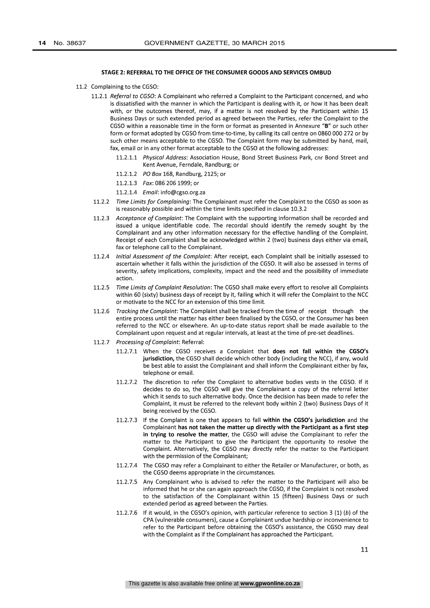#### STAGE 2: REFERRAL TO THE OFFICE OF THE CONSUMER GOODS AND SERVICES OMBUD

- 11.2 Complaining to the CGSO:
	- 11.2.1 Referral to CGSO: A Complainant who referred a Complaint to the Participant concerned, and who is dissatisfied with the manner in which the Participant is dealing with it, or how it has been dealt with, or the outcomes thereof, may, if a matter is not resolved by the Participant within 15 Business Days or such extended period as agreed between the Parties, refer the Complaint to the CGSO within a reasonable time in the form or format as presented in Annexure "B" or such other form or format adopted by CGSO from time-to-time, by calling its call centre on 0860 000 272 or by such other means acceptable to the CGSO. The Complaint form may be submitted by hand, mail, fax, email or in any other format acceptable to the CGSO at the following addresses:
		- 11.2.1.1 Physical Address: Association House, Bond Street Business Park, cnr Bond Street and Kent Avenue, Ferndale, Randburg; or
		- 11.2.1.2 PO Box 168, Randburg, 2125; or
		- 11.2.1.3 Fax: 086 206 1999; or
		- 11.2.1.4 Email: info@cgso.org.za
	- 11.2.2 Time Limits for Complaining: The Complainant must refer the Complaint to the CGSO as soon as is reasonably possible and within the time limits specified in clause 10.3.2
	- 11.2.3 Acceptance of Complaint: The Complaint with the supporting information shall be recorded and issued a unique identifiable code. The recordal should identify the remedy sought by the Complainant and any other information necessary for the effective handling of the Complaint. Receipt of each Complaint shall be acknowledged within 2 (two) business days either via email, fax or telephone call to the Complainant.
	- 11.2.4 Initial Assessment of the Complaint: After receipt, each Complaint shall be initially assessed to ascertain whether it falls within the jurisdiction of the CGSO. It will also be assessed in terms of severity, safety implications, complexity, impact and the need and the possibility of immediate action.
	- 11.2.5 Time Limits of Complaint Resolution: The CGSO shall make every effort to resolve all Complaints within 60 (sixty) business days of receipt by it, failing which it will refer the Complaint to the NCC or motivate to the NCC for an extension of this time limit.
	- 11.2.6 Tracking the Complaint: The Complaint shall be tracked from the time of receipt through the entire process until the matter has either been finalised by the CGSO, or the Consumer has been referred to the NCC or elsewhere. An up-to-date status report shall be made available to the Complainant upon request and at regular intervals, at least at the time of pre-set deadlines.
	- 11.2.7 Processing of Complaint: Referral:
		- 11.2.7.1 When the CGSO receives a Complaint that does not fall within the CGSO's jurisdiction, the CGSO shall decide which other body (including the NCC), if any, would be best able to assist the Complainant and shall inform the Complainant either by fax, telephone or email.
		- 11.2.7.2 The discretion to refer the Complaint to alternative bodies vests in the CGSO. If it decides to do so, the CGSO will give the Complainant a copy of the referral letter which it sends to such alternative body. Once the decision has been made to refer the Complaint, it must be referred to the relevant body within 2 (two) Business Days of it being received by the CGSO.
		- 11.2.7.3 If the Complaint is one that appears to fall within the CGSO's jurisdiction and the Complainant has not taken the matter up directly with the Participant as a first step in trying to resolve the matter, the CGSO will advise the Complainant to refer the matter to the Participant to give the Participant the opportunity to resolve the Complaint. Alternatively, the CGSO may directly refer the matter to the Participant with the permission of the Complainant;
		- 11.2.7.4 The CGSO may refer a Complainant to either the Retailer or Manufacturer, or both, as the CGSO deems appropriate in the circumstances.
		- 11.2.7.5 Any Complainant who is advised to refer the matter to the Participant will also be informed that he or she can again approach the CGSO, if the Complaint is not resolved to the satisfaction of the Complainant within 15 (fifteen) Business Days or such extended period as agreed between the Parties.
		- 11.2.7.6 If it would, in the CGSO's opinion, with particular reference to section 3 (1) (b) of the CPA (vulnerable consumers), cause a Complainant undue hardship or inconvenience to refer to the Participant before obtaining the CGSO's assistance, the CGSO may deal with the Complaint as if the Complainant has approached the Participant.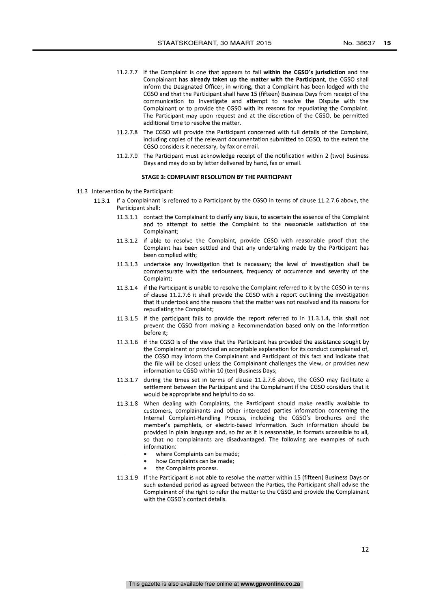- 11.2.7.7 If the Complaint is one that appears to fall within the CGSO's jurisdiction and the Complainant has already taken up the matter with the Participant, the CGSO shall inform the Designated Officer, in writing, that a Complaint has been lodged with the CGSO and that the Participant shall have 15 (fifteen) Business Days from receipt of the communication to investigate and attempt to resolve the Dispute with the Complainant or to provide the CGSO with its reasons for repudiating the Complaint. The Participant may upon request and at the discretion of the CGSO, be permitted additional time to resolve the matter.
- 11.2.7.8 The CGSO will provide the Participant concerned with full details of the Complaint, including copies of the relevant documentation submitted to CGSO, to the extent the CGSO considers it necessary, by fax or email.
- 11.2.7.9 The Participant must acknowledge receipt of the notification within 2 (two) Business Days and may do so by letter delivered by hand, fax or email.

# STAGE 3: COMPLAINT RESOLUTION BY THE PARTICIPANT

- 11.3 Intervention by the Participant:
	- 11.3.1 If a Complainant is referred to a Participant by the CGSO in terms of clause 11.2.7.6 above, the Participant shall:
		- 11.3.1.1 contact the Complainant to clarify any issue, to ascertain the essence of the Complaint and to attempt to settle the Complaint to the reasonable satisfaction of the Complainant;
		- 11.3.1.2 if able to resolve the Complaint, provide CGSO with reasonable proof that the Complaint has been settled and that any undertaking made by the Participant has been complied with;
		- 11.3.1.3 undertake any investigation that is necessary; the level of investigation shall be commensurate with the seriousness, frequency of occurrence and severity of the Complaint;
		- 11.3.1.4 if the Participant is unable to resolve the Complaint referred to it by the CGSO in terms of clause 11.2.7.6 it shall provide the CGSO with a report outlining the investigation that it undertook and the reasons that the matter was not resolved and its reasons for repudiating the Complaint;
		- 11.3.1.5 if the participant fails to provide the report referred to in 11.3.1.4, this shall not prevent the CGSO from making a Recommendation based only on the information before it;
		- 11.3.1.6 if the CGSO is of the view that the Participant has provided the assistance sought by the Complainant or provided an acceptable explanation for its conduct complained of, the CGSO may inform the Complainant and Participant of this fact and indicate that the file will be closed unless the Complainant challenges the view, or provides new information to CGSO within 10 (ten) Business Days;
		- 11.3.1.7 during the times set in terms of clause 11.2.7.6 above, the CGSO may facilitate a settlement between the Participant and the Complainant if the CGSO considers that it would be appropriate and helpful to do so.
		- 11.3.1.8 When dealing with Complaints, the Participant should make readily available to customers, complainants and other interested parties information concerning the Internal Complaint-Handling Process, including the CGSO's brochures and the member's pamphlets, or electric-based information. Such information should be provided in plain language and, so far as it is reasonable, in formats accessible to all, so that no complainants are disadvantaged. The following are examples of such information:
			- where Complaints can be made;
			- how Complaints can be made;
			- the Complaints process.
		- 11.3.1.9 If the Participant is not able to resolve the matter within 15 (fifteen) Business Days or such extended period as agreed between the Parties, the Participant shall advise the Complainant of the right to refer the matter to the CGSO and provide the Complainant with the CGSO's contact details.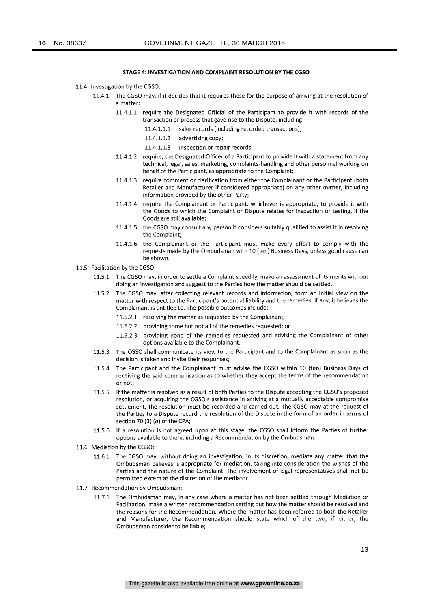#### STAGE 4: INVESTIGATION AND COMPLAINT RESOLUTION BY THE CGSO

- 11.4 Investigation by the CGSO:
	- 11.4.1 The CGSO may, if it decides that it requires these for the purpose of arriving at the resolution of a matter:
		- 11.4.1.1 require the Designated Official of the Participant to provide it with records of the transaction or process that gave rise to the Dispute, including:
			- 11.4.1.1.1 sales records (including recorded transactions);
			- 11.4.1.1.2 advertising copy;
			- 11.4.1.1.3 inspection or repair records.
		- 11.4.1.2 require, the Designated Officer of a Participant to provide it with a statement from any technical, legal, sales, marketing, complaints-handling and other personnel working on behalf of the Participant, as appropriate to the Complaint;
		- 11.4.1.3 require comment or clarification from either the Complainant or the Participant (both Retailer and Manufacturer if considered appropriate) on any other matter, including information provided by the other Party;
		- 11.4.1.4 require the Complainant or Participant, whichever is appropriate, to provide it with the Goods to which the Complaint or Dispute relates for inspection or testing, if the Goods are still available;
		- 11.4.1.5 the CGSO may consult any person it considers suitably qualified to assist it in resolving the Complaint;
		- 11.4.1.6 the Complainant or the Participant must make every effort to comply with the requests made by the Ombudsman with 10 (ten) Business Days, unless good cause can be shown.
- 11.5 Facilitation by the CGSO:
	- 11.5.1 The CGSO may, in order to settle a Complaint speedily, make an assessment of its merits without doing an investigation and suggest to the Parties how the matter should be settled.
	- 11.5.2 The CGSO may, after collecting relevant records and information, form an initial view on the matter with respect to the Participant's potential liability and the remedies, if any, it believes the Complainant is entitled to. The possible outcomes include:
		- 11.5.2.1 resolving the matter as requested by the Complainant;
		- 11.5.2.2 providing some but not all of the remedies requested; or
		- 11.5.2.3 providing none of the remedies requested and advising the Complainant of other options available to the Complainant.
	- 11.5.3 The CGSO shall communicate its view to the Participant and to the Complainant as soon as the decision is taken and invite their responses;
	- 11.5.4 The Participant and the Complainant must advise the CGSO within 10 (ten) Business Days of receiving the said communication as to whether they accept the terms of the recommendation or not;
	- 11.5.5 If the matter is resolved as a result of both Parties to the Dispute accepting the CGSO's proposed resolution, or acquiring the CGSO's assistance in arriving at a mutually acceptable compromise settlement, the resolution must be recorded and carried out. The CGSO may at the request of the Parties to a Dispute record the resolution of the Dispute in the form of an order in terms of section 70 (3)  $(a)$  of the CPA;
	- 11.5.6 If a resolution is not agreed upon at this stage, the CGSO shall inform the Parties of further options available to them, including a Recommendation by the Ombudsman.
- 11.6 Mediation by the CGSO:
	- 11.6.1 The CGSO may, without doing an investigation, in its discretion, mediate any matter that the Ombudsman believes is appropriate for mediation, taking into consideration the wishes of the Parties and the nature of the Complaint. The involvement of legal representatives shall not be permitted except at the discretion of the mediator.
- 11.7 Recommendation by Ombudsman:
	- 11.7.1 The Ombudsman may, in any case where a matter has not been settled through Mediation or Facilitation, make a written recommendation setting out how the matter should be resolved and the reasons for the Recommendation. Where the matter has been referred to both the Retailer and Manufacturer, the Recommendation should state which of the two, if either, the Ombudsman consider to be liable;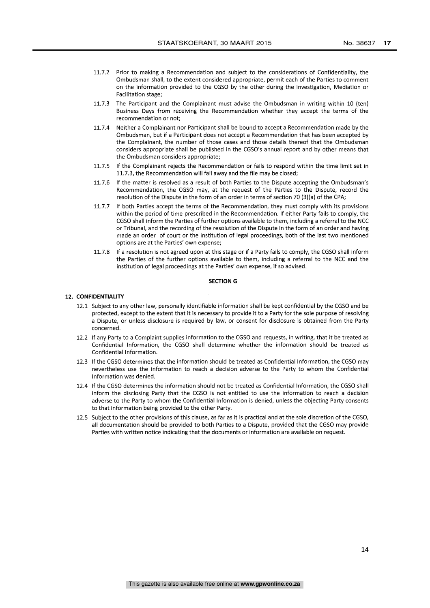- 11.7.2 Prior to making a Recommendation and subject to the considerations of Confidentiality, the Ombudsman shall, to the extent considered appropriate, permit each of the Parties to comment on the information provided to the CGSO by the other during the investigation, Mediation or Facilitation stage;
- 11.7.3 The Participant and the Complainant must advise the Ombudsman in writing within 10 (ten) Business Days from receiving the Recommendation whether they accept the terms of the recommendation or not;
- 11.7.4 Neither a Complainant nor Participant shall be bound to accept a Recommendation made by the Ombudsman, but if a Participant does not accept a Recommendation that has been accepted by the Complainant, the number of those cases and those details thereof that the Ombudsman considers appropriate shall be published in the CGSO's annual report and by other means that the Ombudsman considers appropriate;
- 11.7.5 If the Complainant rejects the Recommendation or fails to respond within the time limit set in 11.7.3, the Recommendation will fall away and the file may be closed;
- 11.7.6 If the matter is resolved as a result of both Parties to the Dispute accepting the Ombudsman's Recommendation, the CGSO may, at the request of the Parties to the Dispute, record the resolution of the Dispute in the form of an order in terms of section 70 (3)(a) of the CPA;
- 11.7.7 If both Parties accept the terms of the Recommendation, they must comply with its provisions within the period of time prescribed in the Recommendation. If either Party fails to comply, the CGSO shall inform the Parties of further options available to them, including a referral to the NCC or Tribunal, and the recording of the resolution of the Dispute in the form of an order and having made an order of court or the institution of legal proceedings, both of the last two mentioned options are at the Parties' own expense;
- 11.7.8 If a resolution is not agreed upon at this stage or if a Party fails to comply, the CGSO shall inform the Parties of the further options available to them, including a referral to the NCC and the institution of legal proceedings at the Parties' own expense, if so advised.

#### SECTION G

# 12. CONFIDENTIALITY

- 12.1 Subject to any other law, personally identifiable information shall be kept confidential by the CGSO and be protected, except to the extent that it is necessary to provide it to a Party for the sole purpose of resolving a Dispute, or unless disclosure is required by law, or consent for disclosure is obtained from the Party concerned.
- 12.2 If any Party to a Complaint supplies information to the CGSO and requests, in writing, that it be treated as Confidential Information, the CGSO shall determine whether the information should be treated as Confidential Information.
- 12.3 If the CGSO determines that the information should be treated as Confidential Information, the CGSO may nevertheless use the information to reach a decision adverse to the Party to whom the Confidential Information was denied.
- 12.4 If the CGSO determines the information should not be treated as Confidential Information, the CGSO shall inform the disclosing Party that the CGSO is not entitled to use the information to reach a decision adverse to the Party to whom the Confidential Information is denied, unless the objecting Party consents to that information being provided to the other Party.
- 12.5 Subject to the other provisions of this clause, as far as it is practical and at the sole discretion of the CGSO, all documentation should be provided to both Parties to a Dispute, provided that the CGSO may provide Parties with written notice indicating that the documents or information are available on request.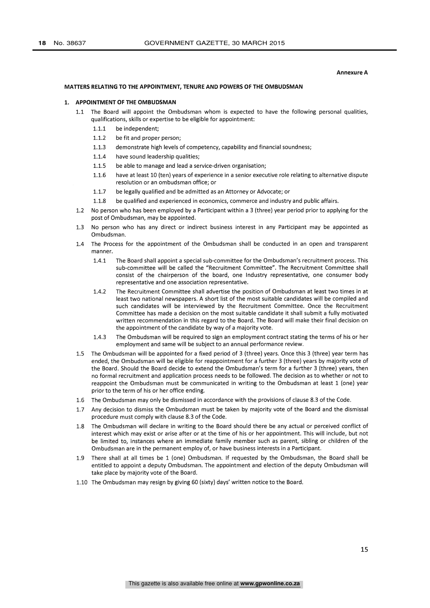#### Annexure A

#### MATTERS RELATING TO THE APPOINTMENT, TENURE AND POWERS OF THE OMBUDSMAN

#### 1. APPOINTMENT OF THE OMBUDSMAN

- 1.1 The Board will appoint the Ombudsman whom is expected to have the following personal qualities, qualifications, skills or expertise to be eligible for appointment:
	- 1.1.1 be independent;
	- 1.1.2 be fit and proper person;
	- 1.1.3 demonstrate high levels of competency, capability and financial soundness;
	- 1.1.4 have sound leadership qualities;
	- 1.1.5 be able to manage and lead a service-driven organisation;
	- 1.1.6 have at least 10 (ten) years of experience in a senior executive role relating to alternative dispute resolution or an ombudsman office; or
	- 1.1.7 be legally qualified and be admitted as an Attorney or Advocate; or
	- 1.1.8 be qualified and experienced in economics, commerce and industry and public affairs.
- 1.2 No person who has been employed by a Participant within a 3 (three) year period prior to applying for the post of Ombudsman, may be appointed.
- 1.3 No person who has any direct or indirect business interest in any Participant may be appointed as Ombudsman.
- 1.4 The Process for the appointment of the Ombudsman shall be conducted in an open and transparent manner.
	- 1.4.1 The Board shall appoint a special sub-committee for the Ombudsman's recruitment process. This sub-committee will be called the "Recruitment Committee". The Recruitment Committee shall consist of the chairperson of the board, one Industry representative, one consumer body representative and one association representative.
	- 1.4.2 The Recruitment Committee shall advertise the position of Ombudsman at least two times in at least two national newspapers. A short list of the most suitable candidates will be compiled and such candidates will be interviewed by the Recruitment Committee. Once the Recruitment Committee has made a decision on the most suitable candidate it shall submit a fully motivated written recommendation in this regard to the Board. The Board will make their final decision on the appointment of the candidate by way of a majority vote.
	- 1.4.3 The Ombudsman will be required to sign an employment contract stating the terms of his or her employment and same will be subject to an annual performance review.
- 1.5 The Ombudsman will be appointed for a fixed period of 3 (three) years. Once this 3 (three) year term has ended, the Ombudsman will be eligible for reappointment for a further 3 (three) years by majority vote of the Board. Should the Board decide to extend the Ombudsman's term for a further 3 (three) years, then no formal recruitment and application process needs to be followed. The decision as to whether or not to reappoint the Ombudsman must be communicated in writing to the Ombudsman at least 1 (one) year prior to the term of his or her office ending.
- 1.6 The Ombudsman may only be dismissed in accordance with the provisions of clause 8.3 of the Code.
- 1.7 Any decision to dismiss the Ombudsman must be taken by majority vote of the Board and the dismissal procedure must comply with clause 8.3 of the Code.
- 1.8 The Ombudsman will declare in writing to the Board should there be any actual or perceived conflict of interest which may exist or arise after or at the time of his or her appointment. This will include, but not be limited to, instances where an immediate family member such as parent, sibling or children of the Ombudsman are in the permanent employ of, or have business interests in a Participant.
- 1.9 There shall at all times be 1 (one) Ombudsman. If requested by the Ombudsman, the Board shall be entitled to appoint a deputy Ombudsman. The appointment and election of the deputy Ombudsman will take place by majority vote of the Board.
- 1.10 The Ombudsman may resign by giving 60 (sixty) days' written notice to the Board.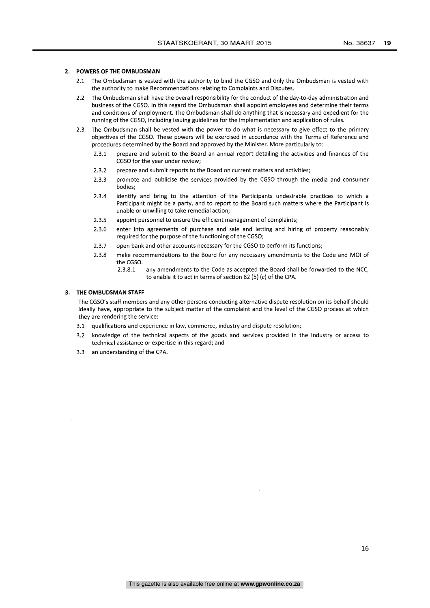### 2. POWERS OF THE OMBUDSMAN

- 2.1 The Ombudsman is vested with the authority to bind the CGSO and only the Ombudsman is vested with the authority to make Recommendations relating to Complaints and Disputes.
- 2.2 The Ombudsman shall have the overall responsibility for the conduct of the day-to-day administration and business of the CGSO. In this regard the Ombudsman shall appoint employees and determine their terms and conditions of employment. The Ombudsman shall do anything that is necessary and expedient for the running of the CGSO, including issuing guidelines for the implementation and application of rules.
- 2.3 The Ombudsman shall be vested with the power to do what is necessary to give effect to the primary objectives of the CGSO. These powers will be exercised in accordance with the Terms of Reference and procedures determined by the Board and approved by the Minister. More particularly to:
	- 2.3.1 prepare and submit to the Board an annual report detailing the activities and finances of the CGSO for the year under review;
	- 2.3.2 prepare and submit reports to the Board on current matters and activities;
	- 2.3.3 promote and publicise the services provided by the CGSO through the media and consumer bodies;
	- 2.3.4 identify and bring to the attention of the Participants undesirable practices to which a Participant might be a party, and to report to the Board such matters where the Participant is unable or unwilling to take remedial action;
	- 2.3.5 appoint personnel to ensure the efficient management of complaints;
	- 2.3.6 enter into agreements of purchase and sale and letting and hiring of property reasonably required for the purpose of the functioning of the CGSO;
	- 2.3.7 open bank and other accounts necessary for the CGSO to perform its functions;
	- 2.3.8 make recommendations to the Board for any necessary amendments to the Code and MOI of the CGSO.
		- 2.3.8.1 any amendments to the Code as accepted the Board shall be forwarded to the NCC, to enable it to act in terms of section 82 (5) (c) of the CPA.

### 3. THE OMBUDSMAN STAFF

The CGSO's staff members and any other persons conducting alternative dispute resolution on its behalf should ideally have, appropriate to the subject matter of the complaint and the level of the CGSO process at which they are rendering the service:

- 3.1 qualifications and experience in law, commerce, industry and dispute resolution;
- 3.2 knowledge of the technical aspects of the goods and services provided in the Industry or access to technical assistance or expertise in this regard; and
- 3.3 an understanding of the CPA.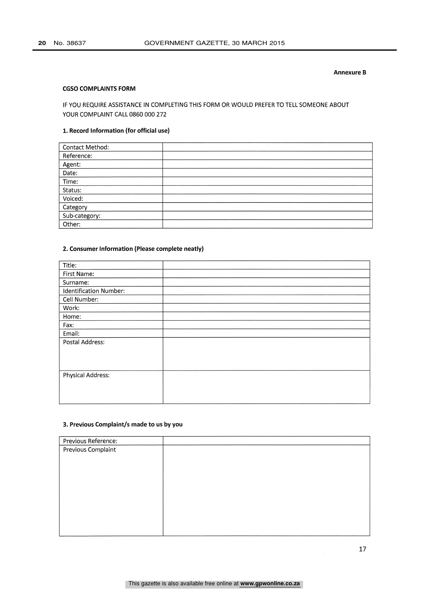## Annexure B

# **CGSO COMPLAINTS FORM**

# IF YOU REQUIRE ASSISTANCE IN COMPLETING THIS FORM OR WOULD PREFER TO TELL SOMEONE ABOUT YOUR COMPLAINT CALL 0860 000 272

# 1. Record Information (for official use)

| Contact Method: |        |
|-----------------|--------|
| Reference:      |        |
| Agent:          |        |
| Date:           |        |
| Time:           |        |
| Status:         |        |
| Voiced:         |        |
| Category        | $\sim$ |
| Sub-category:   |        |
| Other:          |        |

# 2. Consumer Information (Please complete neatly)

| Title:                 |  |
|------------------------|--|
| First Name:            |  |
| Surname:               |  |
| Identification Number: |  |
| Cell Number:           |  |
| Work:                  |  |
| Home:                  |  |
| Fax:                   |  |
| Email:                 |  |
| Postal Address:        |  |
|                        |  |
|                        |  |
|                        |  |
| Physical Address:      |  |
|                        |  |
|                        |  |
|                        |  |

# 3. Previous Complaint/5 made to us by you

| Previous Reference:       |  |
|---------------------------|--|
| <b>Previous Complaint</b> |  |
|                           |  |
|                           |  |
|                           |  |
|                           |  |
|                           |  |
|                           |  |
|                           |  |
|                           |  |
|                           |  |
|                           |  |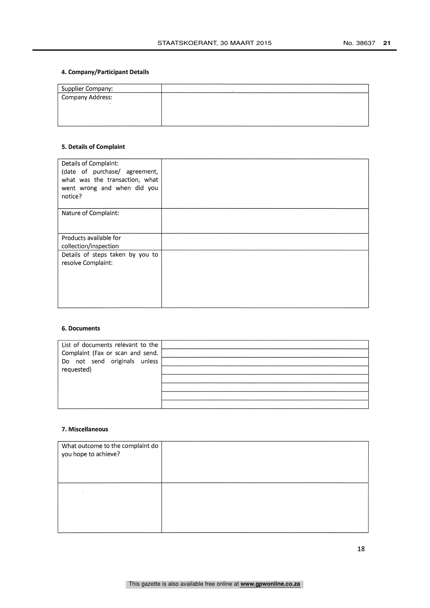# 4. Company/Participant Details

| Supplier Company: |  |
|-------------------|--|
| Company Address:  |  |
|                   |  |
|                   |  |
|                   |  |

# 5. Details of Complaint

| Details of Complaint:<br>(date of purchase/ agreement,<br>what was the transaction, what<br>went wrong and when did you<br>notice? |  |
|------------------------------------------------------------------------------------------------------------------------------------|--|
| Nature of Complaint:                                                                                                               |  |
| Products available for<br>collection/inspection                                                                                    |  |
| Details of steps taken by you to<br>resolve Complaint:                                                                             |  |

# 6. Documents

| List of documents relevant to the<br>Complaint (Fax or scan and send.<br>Do not send originals unless<br>requested) |  |
|---------------------------------------------------------------------------------------------------------------------|--|
|                                                                                                                     |  |
|                                                                                                                     |  |
|                                                                                                                     |  |

# 7. Miscellaneous

| What outcome to the complaint do<br>you hope to achieve? |  |
|----------------------------------------------------------|--|
|                                                          |  |